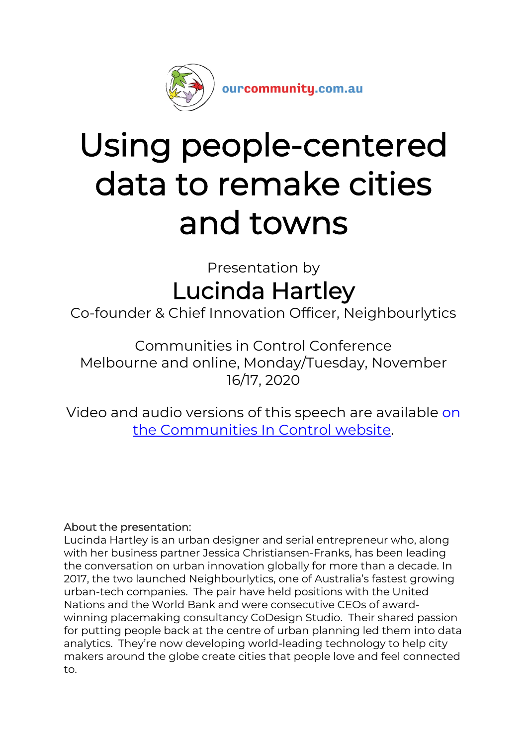

# Using people-centered data to remake cities and towns

Presentation by Lucinda Hartley

Co-founder & Chief Innovation Officer, Neighbourlytics

Communities in Control Conference Melbourne and online, Monday/Tuesday, November 16/17, 2020

Video and audio versions of this speech are available [on](https://communitiesincontrol.com.au/media/using-people-centred-data-to-remake-cities-towns)  [the Communities In Control website.](https://communitiesincontrol.com.au/media/using-people-centred-data-to-remake-cities-towns)

#### About the presentation:

Lucinda Hartley is an urban designer and serial entrepreneur who, along with her business partner Jessica Christiansen-Franks, has been leading the conversation on urban innovation globally for more than a decade. In 2017, the two launched Neighbourlytics, one of Australia's fastest growing urban-tech companies. The pair have held positions with the United Nations and the World Bank and were consecutive CEOs of awardwinning placemaking consultancy CoDesign Studio. Their shared passion for putting people back at the centre of urban planning led them into data analytics. They're now developing world-leading technology to help city makers around the globe create cities that people love and feel connected to.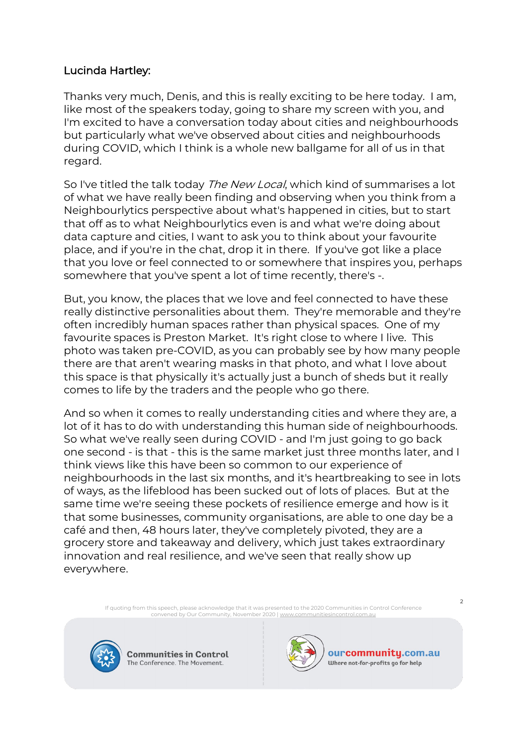#### Lucinda Hartley:

Thanks very much, Denis, and this is really exciting to be here today. I am, like most of the speakers today, going to share my screen with you, and I'm excited to have a conversation today about cities and neighbourhoods but particularly what we've observed about cities and neighbourhoods during COVID, which I think is a whole new ballgame for all of us in that regard.

So I've titled the talk today The New Local, which kind of summarises a lot of what we have really been finding and observing when you think from a Neighbourlytics perspective about what's happened in cities, but to start that off as to what Neighbourlytics even is and what we're doing about data capture and cities, I want to ask you to think about your favourite place, and if you're in the chat, drop it in there. If you've got like a place that you love or feel connected to or somewhere that inspires you, perhaps somewhere that you've spent a lot of time recently, there's -.

But, you know, the places that we love and feel connected to have these really distinctive personalities about them. They're memorable and they're often incredibly human spaces rather than physical spaces. One of my favourite spaces is Preston Market. It's right close to where I live. This photo was taken pre-COVID, as you can probably see by how many people there are that aren't wearing masks in that photo, and what I love about this space is that physically it's actually just a bunch of sheds but it really comes to life by the traders and the people who go there.

And so when it comes to really understanding cities and where they are, a lot of it has to do with understanding this human side of neighbourhoods. So what we've really seen during COVID - and I'm just going to go back one second - is that - this is the same market just three months later, and I think views like this have been so common to our experience of neighbourhoods in the last six months, and it's heartbreaking to see in lots of ways, as the lifeblood has been sucked out of lots of places. But at the same time we're seeing these pockets of resilience emerge and how is it that some businesses, community organisations, are able to one day be a café and then, 48 hours later, they've completely pivoted, they are a grocery store and takeaway and delivery, which just takes extraordinary innovation and real resilience, and we've seen that really show up everywhere.

> If quoting from this speech, please acknowledge that it was presented to the 2020 Communities in Control Conference convened by Our Community, November 2020 [| www.communitiesincontrol.com.au](https://www.communitiesincontrol.com.au/)



**Communities in Control** The Conference. The Movement.



ourcommunity.com.au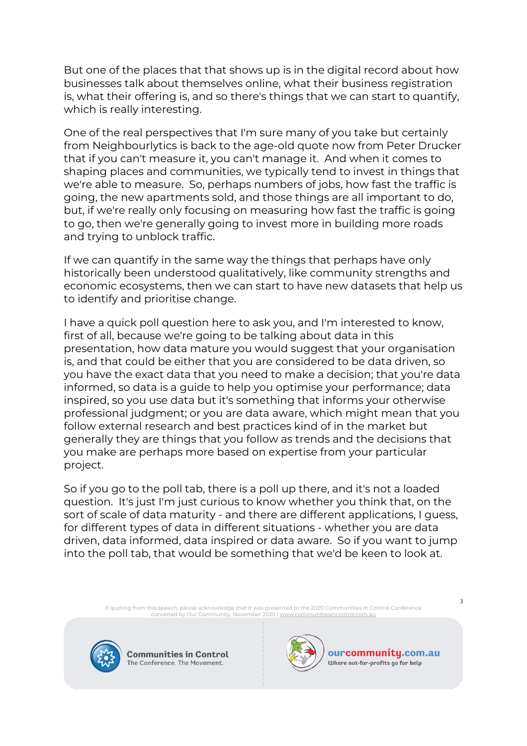But one of the places that that shows up is in the digital record about how businesses talk about themselves online, what their business registration is, what their offering is, and so there's things that we can start to quantify, which is really interesting.

One of the real perspectives that I'm sure many of you take but certainly from Neighbourlytics is back to the age-old quote now from Peter Drucker that if you can't measure it, you can't manage it. And when it comes to shaping places and communities, we typically tend to invest in things that we're able to measure. So, perhaps numbers of jobs, how fast the traffic is going, the new apartments sold, and those things are all important to do, but, if we're really only focusing on measuring how fast the traffic is going to go, then we're generally going to invest more in building more roads and trying to unblock traffic.

If we can quantify in the same way the things that perhaps have only historically been understood qualitatively, like community strengths and economic ecosystems, then we can start to have new datasets that help us to identify and prioritise change.

I have a quick poll question here to ask you, and I'm interested to know, first of all, because we're going to be talking about data in this presentation, how data mature you would suggest that your organisation is, and that could be either that you are considered to be data driven, so you have the exact data that you need to make a decision; that you're data informed, so data is a guide to help you optimise your performance; data inspired, so you use data but it's something that informs your otherwise professional judgment; or you are data aware, which might mean that you follow external research and best practices kind of in the market but generally they are things that you follow as trends and the decisions that you make are perhaps more based on expertise from your particular project.

So if you go to the poll tab, there is a poll up there, and it's not a loaded question. It's just I'm just curious to know whether you think that, on the sort of scale of data maturity - and there are different applications, I guess, for different types of data in different situations - whether you are data driven, data informed, data inspired or data aware. So if you want to jump into the poll tab, that would be something that we'd be keen to look at.

> If quoting from this speech, please acknowledge that it was presented to the 2020 Communities in Control Conference convened by Our Community, November 2020 [| www.communitiesincontrol.com.au](https://www.communitiesincontrol.com.au/)



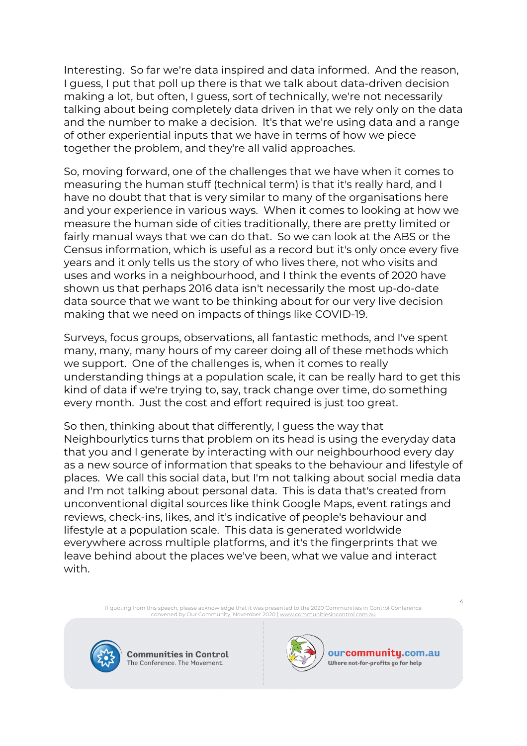Interesting. So far we're data inspired and data informed. And the reason, I guess, I put that poll up there is that we talk about data-driven decision making a lot, but often, I guess, sort of technically, we're not necessarily talking about being completely data driven in that we rely only on the data and the number to make a decision. It's that we're using data and a range of other experiential inputs that we have in terms of how we piece together the problem, and they're all valid approaches.

So, moving forward, one of the challenges that we have when it comes to measuring the human stuff (technical term) is that it's really hard, and I have no doubt that that is very similar to many of the organisations here and your experience in various ways. When it comes to looking at how we measure the human side of cities traditionally, there are pretty limited or fairly manual ways that we can do that. So we can look at the ABS or the Census information, which is useful as a record but it's only once every five years and it only tells us the story of who lives there, not who visits and uses and works in a neighbourhood, and I think the events of 2020 have shown us that perhaps 2016 data isn't necessarily the most up-do-date data source that we want to be thinking about for our very live decision making that we need on impacts of things like COVID-19.

Surveys, focus groups, observations, all fantastic methods, and I've spent many, many, many hours of my career doing all of these methods which we support. One of the challenges is, when it comes to really understanding things at a population scale, it can be really hard to get this kind of data if we're trying to, say, track change over time, do something every month. Just the cost and effort required is just too great.

So then, thinking about that differently, I guess the way that Neighbourlytics turns that problem on its head is using the everyday data that you and I generate by interacting with our neighbourhood every day as a new source of information that speaks to the behaviour and lifestyle of places. We call this social data, but I'm not talking about social media data and I'm not talking about personal data. This is data that's created from unconventional digital sources like think Google Maps, event ratings and reviews, check-ins, likes, and it's indicative of people's behaviour and lifestyle at a population scale. This data is generated worldwide everywhere across multiple platforms, and it's the fingerprints that we leave behind about the places we've been, what we value and interact with.

> If quoting from this speech, please acknowledge that it was presented to the 2020 Communities in Control Conference convened by Our Community, November 2020 [| www.communitiesincontrol.com.au](https://www.communitiesincontrol.com.au/)



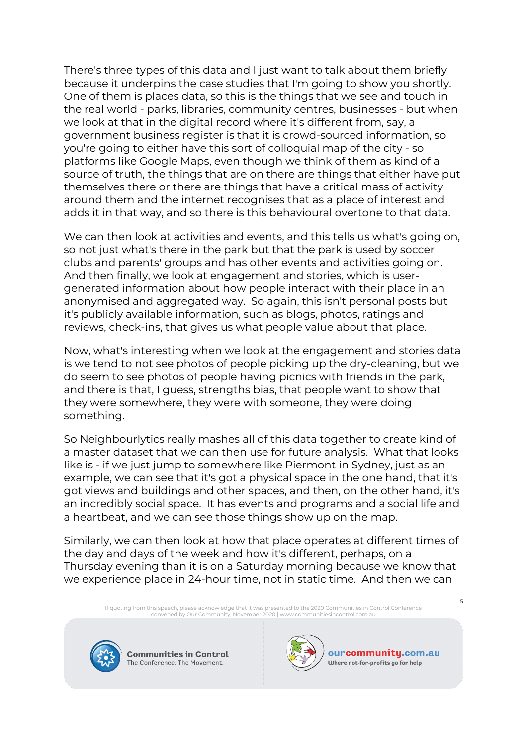There's three types of this data and I just want to talk about them briefly because it underpins the case studies that I'm going to show you shortly. One of them is places data, so this is the things that we see and touch in the real world - parks, libraries, community centres, businesses - but when we look at that in the digital record where it's different from, say, a government business register is that it is crowd-sourced information, so you're going to either have this sort of colloquial map of the city - so platforms like Google Maps, even though we think of them as kind of a source of truth, the things that are on there are things that either have put themselves there or there are things that have a critical mass of activity around them and the internet recognises that as a place of interest and adds it in that way, and so there is this behavioural overtone to that data.

We can then look at activities and events, and this tells us what's going on, so not just what's there in the park but that the park is used by soccer clubs and parents' groups and has other events and activities going on. And then finally, we look at engagement and stories, which is usergenerated information about how people interact with their place in an anonymised and aggregated way. So again, this isn't personal posts but it's publicly available information, such as blogs, photos, ratings and reviews, check-ins, that gives us what people value about that place.

Now, what's interesting when we look at the engagement and stories data is we tend to not see photos of people picking up the dry-cleaning, but we do seem to see photos of people having picnics with friends in the park, and there is that, I guess, strengths bias, that people want to show that they were somewhere, they were with someone, they were doing something.

So Neighbourlytics really mashes all of this data together to create kind of a master dataset that we can then use for future analysis. What that looks like is - if we just jump to somewhere like Piermont in Sydney, just as an example, we can see that it's got a physical space in the one hand, that it's got views and buildings and other spaces, and then, on the other hand, it's an incredibly social space. It has events and programs and a social life and a heartbeat, and we can see those things show up on the map.

Similarly, we can then look at how that place operates at different times of the day and days of the week and how it's different, perhaps, on a Thursday evening than it is on a Saturday morning because we know that we experience place in 24-hour time, not in static time. And then we can

If quoting from this speech, please acknowledge that it was presented to the 2020 Communities in Control Conference<br>convened by Our Community, November 2020 | <u>www.communitiesincontrol.com.au</u>



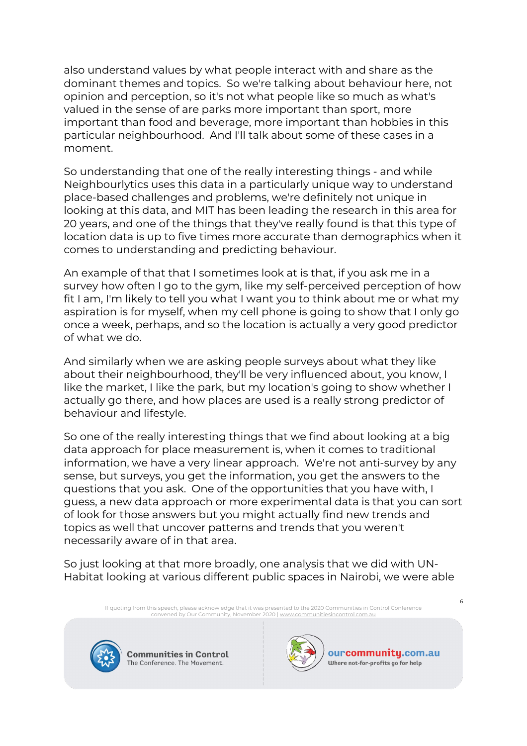also understand values by what people interact with and share as the dominant themes and topics. So we're talking about behaviour here, not opinion and perception, so it's not what people like so much as what's valued in the sense of are parks more important than sport, more important than food and beverage, more important than hobbies in this particular neighbourhood. And I'll talk about some of these cases in a moment.

So understanding that one of the really interesting things - and while Neighbourlytics uses this data in a particularly unique way to understand place-based challenges and problems, we're definitely not unique in looking at this data, and MIT has been leading the research in this area for 20 years, and one of the things that they've really found is that this type of location data is up to five times more accurate than demographics when it comes to understanding and predicting behaviour.

An example of that that I sometimes look at is that, if you ask me in a survey how often I go to the gym, like my self-perceived perception of how fit I am, I'm likely to tell you what I want you to think about me or what my aspiration is for myself, when my cell phone is going to show that I only go once a week, perhaps, and so the location is actually a very good predictor of what we do.

And similarly when we are asking people surveys about what they like about their neighbourhood, they'll be very influenced about, you know, I like the market, I like the park, but my location's going to show whether I actually go there, and how places are used is a really strong predictor of behaviour and lifestyle.

So one of the really interesting things that we find about looking at a big data approach for place measurement is, when it comes to traditional information, we have a very linear approach. We're not anti-survey by any sense, but surveys, you get the information, you get the answers to the questions that you ask. One of the opportunities that you have with, I guess, a new data approach or more experimental data is that you can sort of look for those answers but you might actually find new trends and topics as well that uncover patterns and trends that you weren't necessarily aware of in that area.

So just looking at that more broadly, one analysis that we did with UN-Habitat looking at various different public spaces in Nairobi, we were able

If quoting from this speech, please acknowledge that it was presented to the 2020 Communities in Control Conference<br>convened by Our Community, November 2020 | <u>www.communitiesincontrol.com.au</u>



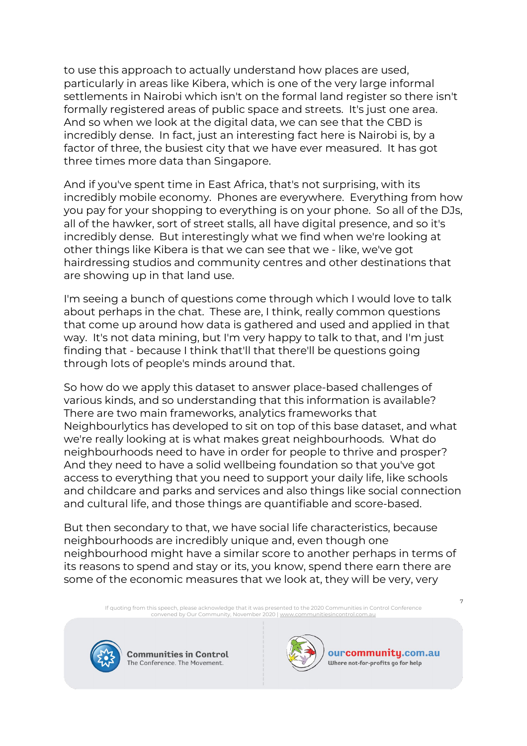to use this approach to actually understand how places are used, particularly in areas like Kibera, which is one of the very large informal settlements in Nairobi which isn't on the formal land register so there isn't formally registered areas of public space and streets. It's just one area. And so when we look at the digital data, we can see that the CBD is incredibly dense. In fact, just an interesting fact here is Nairobi is, by a factor of three, the busiest city that we have ever measured. It has got three times more data than Singapore.

And if you've spent time in East Africa, that's not surprising, with its incredibly mobile economy. Phones are everywhere. Everything from how you pay for your shopping to everything is on your phone. So all of the DJs, all of the hawker, sort of street stalls, all have digital presence, and so it's incredibly dense. But interestingly what we find when we're looking at other things like Kibera is that we can see that we - like, we've got hairdressing studios and community centres and other destinations that are showing up in that land use.

I'm seeing a bunch of questions come through which I would love to talk about perhaps in the chat. These are, I think, really common questions that come up around how data is gathered and used and applied in that way. It's not data mining, but I'm very happy to talk to that, and I'm just finding that - because I think that'll that there'll be questions going through lots of people's minds around that.

So how do we apply this dataset to answer place-based challenges of various kinds, and so understanding that this information is available? There are two main frameworks, analytics frameworks that Neighbourlytics has developed to sit on top of this base dataset, and what we're really looking at is what makes great neighbourhoods. What do neighbourhoods need to have in order for people to thrive and prosper? And they need to have a solid wellbeing foundation so that you've got access to everything that you need to support your daily life, like schools and childcare and parks and services and also things like social connection and cultural life, and those things are quantifiable and score-based.

But then secondary to that, we have social life characteristics, because neighbourhoods are incredibly unique and, even though one neighbourhood might have a similar score to another perhaps in terms of its reasons to spend and stay or its, you know, spend there earn there are some of the economic measures that we look at, they will be very, very

If quoting from this speech, please acknowledge that it was presented to the 2020 Communities in Control Conference<br>convened by Our Community, November 2020 | <u>www.communitiesincontrol.com.au</u>



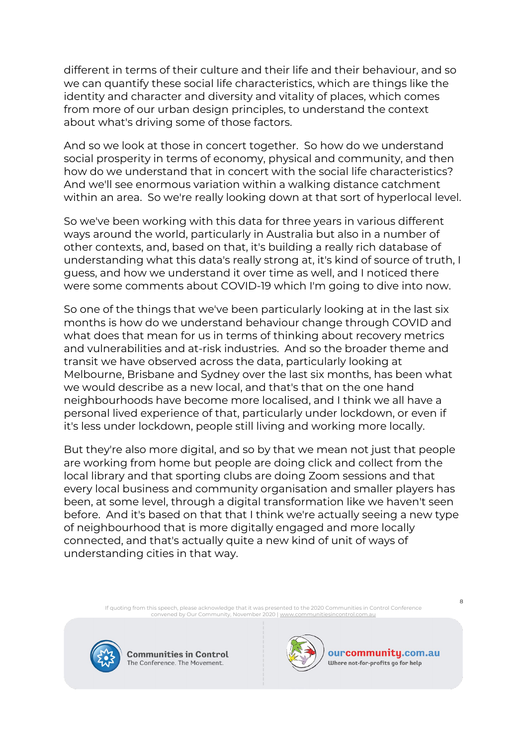different in terms of their culture and their life and their behaviour, and so we can quantify these social life characteristics, which are things like the identity and character and diversity and vitality of places, which comes from more of our urban design principles, to understand the context about what's driving some of those factors.

And so we look at those in concert together. So how do we understand social prosperity in terms of economy, physical and community, and then how do we understand that in concert with the social life characteristics? And we'll see enormous variation within a walking distance catchment within an area. So we're really looking down at that sort of hyperlocal level.

So we've been working with this data for three years in various different ways around the world, particularly in Australia but also in a number of other contexts, and, based on that, it's building a really rich database of understanding what this data's really strong at, it's kind of source of truth, I guess, and how we understand it over time as well, and I noticed there were some comments about COVID-19 which I'm going to dive into now.

So one of the things that we've been particularly looking at in the last six months is how do we understand behaviour change through COVID and what does that mean for us in terms of thinking about recovery metrics and vulnerabilities and at-risk industries. And so the broader theme and transit we have observed across the data, particularly looking at Melbourne, Brisbane and Sydney over the last six months, has been what we would describe as a new local, and that's that on the one hand neighbourhoods have become more localised, and I think we all have a personal lived experience of that, particularly under lockdown, or even if it's less under lockdown, people still living and working more locally.

But they're also more digital, and so by that we mean not just that people are working from home but people are doing click and collect from the local library and that sporting clubs are doing Zoom sessions and that every local business and community organisation and smaller players has been, at some level, through a digital transformation like we haven't seen before. And it's based on that that I think we're actually seeing a new type of neighbourhood that is more digitally engaged and more locally connected, and that's actually quite a new kind of unit of ways of understanding cities in that way.

> If quoting from this speech, please acknowledge that it was presented to the 2020 Communities in Control Conference convened by Our Community, November 2020 [| www.communitiesincontrol.com.au](https://www.communitiesincontrol.com.au/)



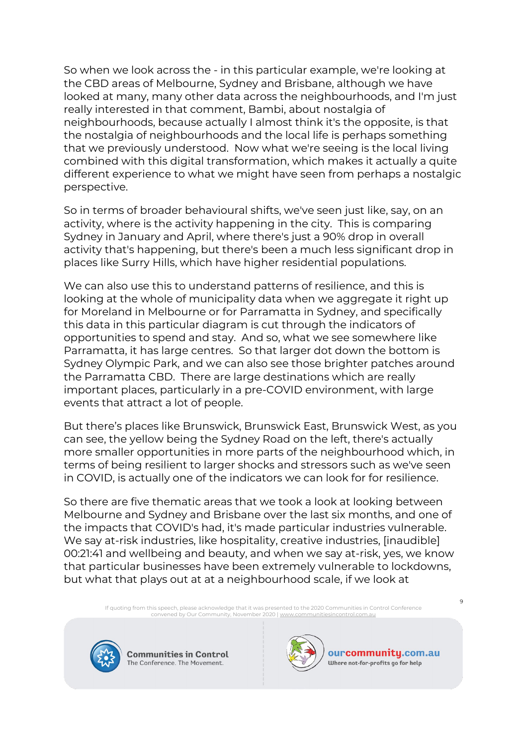So when we look across the - in this particular example, we're looking at the CBD areas of Melbourne, Sydney and Brisbane, although we have looked at many, many other data across the neighbourhoods, and I'm just really interested in that comment, Bambi, about nostalgia of neighbourhoods, because actually I almost think it's the opposite, is that the nostalgia of neighbourhoods and the local life is perhaps something that we previously understood. Now what we're seeing is the local living combined with this digital transformation, which makes it actually a quite different experience to what we might have seen from perhaps a nostalgic perspective.

So in terms of broader behavioural shifts, we've seen just like, say, on an activity, where is the activity happening in the city. This is comparing Sydney in January and April, where there's just a 90% drop in overall activity that's happening, but there's been a much less significant drop in places like Surry Hills, which have higher residential populations.

We can also use this to understand patterns of resilience, and this is looking at the whole of municipality data when we aggregate it right up for Moreland in Melbourne or for Parramatta in Sydney, and specifically this data in this particular diagram is cut through the indicators of opportunities to spend and stay. And so, what we see somewhere like Parramatta, it has large centres. So that larger dot down the bottom is Sydney Olympic Park, and we can also see those brighter patches around the Parramatta CBD. There are large destinations which are really important places, particularly in a pre-COVID environment, with large events that attract a lot of people.

But there's places like Brunswick, Brunswick East, Brunswick West, as you can see, the yellow being the Sydney Road on the left, there's actually more smaller opportunities in more parts of the neighbourhood which, in terms of being resilient to larger shocks and stressors such as we've seen in COVID, is actually one of the indicators we can look for for resilience.

So there are five thematic areas that we took a look at looking between Melbourne and Sydney and Brisbane over the last six months, and one of the impacts that COVID's had, it's made particular industries vulnerable. We say at-risk industries, like hospitality, creative industries, [inaudible] 00:21:41 and wellbeing and beauty, and when we say at-risk, yes, we know that particular businesses have been extremely vulnerable to lockdowns, but what that plays out at at a neighbourhood scale, if we look at

If quoting from this speech, please acknowledge that it was presented to the 2020 Communities in Control Conference<br>convened by Our Community, November 2020 | <u>www.communitiesincontrol.com.au</u>



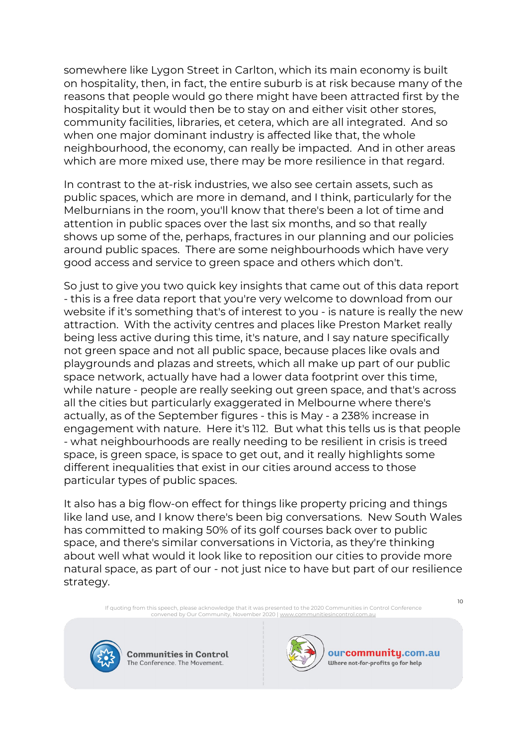somewhere like Lygon Street in Carlton, which its main economy is built on hospitality, then, in fact, the entire suburb is at risk because many of the reasons that people would go there might have been attracted first by the hospitality but it would then be to stay on and either visit other stores, community facilities, libraries, et cetera, which are all integrated. And so when one major dominant industry is affected like that, the whole neighbourhood, the economy, can really be impacted. And in other areas which are more mixed use, there may be more resilience in that regard.

In contrast to the at-risk industries, we also see certain assets, such as public spaces, which are more in demand, and I think, particularly for the Melburnians in the room, you'll know that there's been a lot of time and attention in public spaces over the last six months, and so that really shows up some of the, perhaps, fractures in our planning and our policies around public spaces. There are some neighbourhoods which have very good access and service to green space and others which don't.

So just to give you two quick key insights that came out of this data report - this is a free data report that you're very welcome to download from our website if it's something that's of interest to you - is nature is really the new attraction. With the activity centres and places like Preston Market really being less active during this time, it's nature, and I say nature specifically not green space and not all public space, because places like ovals and playgrounds and plazas and streets, which all make up part of our public space network, actually have had a lower data footprint over this time, while nature - people are really seeking out green space, and that's across all the cities but particularly exaggerated in Melbourne where there's actually, as of the September figures - this is May - a 238% increase in engagement with nature. Here it's 112. But what this tells us is that people - what neighbourhoods are really needing to be resilient in crisis is treed space, is green space, is space to get out, and it really highlights some different inequalities that exist in our cities around access to those particular types of public spaces.

It also has a big flow-on effect for things like property pricing and things like land use, and I know there's been big conversations. New South Wales has committed to making 50% of its golf courses back over to public space, and there's similar conversations in Victoria, as they're thinking about well what would it look like to reposition our cities to provide more natural space, as part of our - not just nice to have but part of our resilience strategy.

If quoting from this speech, please acknowledge that it was presented to the 2020 Communities in Control Conference<br>convened by Our Community, November 2020 | <u>www.communitiesincontrol.com.au</u>



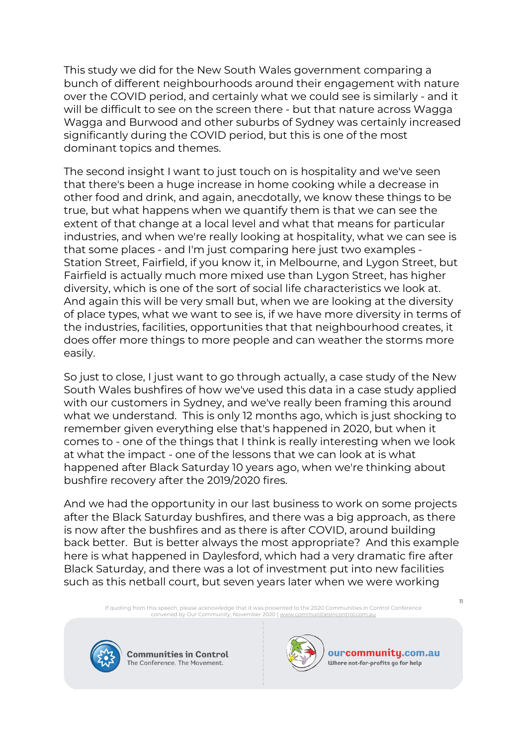This study we did for the New South Wales government comparing a bunch of different neighbourhoods around their engagement with nature over the COVID period, and certainly what we could see is similarly - and it will be difficult to see on the screen there - but that nature across Wagga Wagga and Burwood and other suburbs of Sydney was certainly increased significantly during the COVID period, but this is one of the most dominant topics and themes.

The second insight I want to just touch on is hospitality and we've seen that there's been a huge increase in home cooking while a decrease in other food and drink, and again, anecdotally, we know these things to be true, but what happens when we quantify them is that we can see the extent of that change at a local level and what that means for particular industries, and when we're really looking at hospitality, what we can see is that some places - and I'm just comparing here just two examples - Station Street, Fairfield, if you know it, in Melbourne, and Lygon Street, but Fairfield is actually much more mixed use than Lygon Street, has higher diversity, which is one of the sort of social life characteristics we look at. And again this will be very small but, when we are looking at the diversity of place types, what we want to see is, if we have more diversity in terms of the industries, facilities, opportunities that that neighbourhood creates, it does offer more things to more people and can weather the storms more easily.

So just to close, I just want to go through actually, a case study of the New South Wales bushfires of how we've used this data in a case study applied with our customers in Sydney, and we've really been framing this around what we understand. This is only 12 months ago, which is just shocking to remember given everything else that's happened in 2020, but when it comes to - one of the things that I think is really interesting when we look at what the impact - one of the lessons that we can look at is what happened after Black Saturday 10 years ago, when we're thinking about bushfire recovery after the 2019/2020 fires.

And we had the opportunity in our last business to work on some projects after the Black Saturday bushfires, and there was a big approach, as there is now after the bushfires and as there is after COVID, around building back better. But is better always the most appropriate? And this example here is what happened in Daylesford, which had a very dramatic fire after Black Saturday, and there was a lot of investment put into new facilities such as this netball court, but seven years later when we were working

If quoting from this speech, please acknowledge that it was presented to the 2020 Communities in Control Conference<br>convened by Our Community, November 2020 | <u>www.communitiesincontrol.com.au</u>



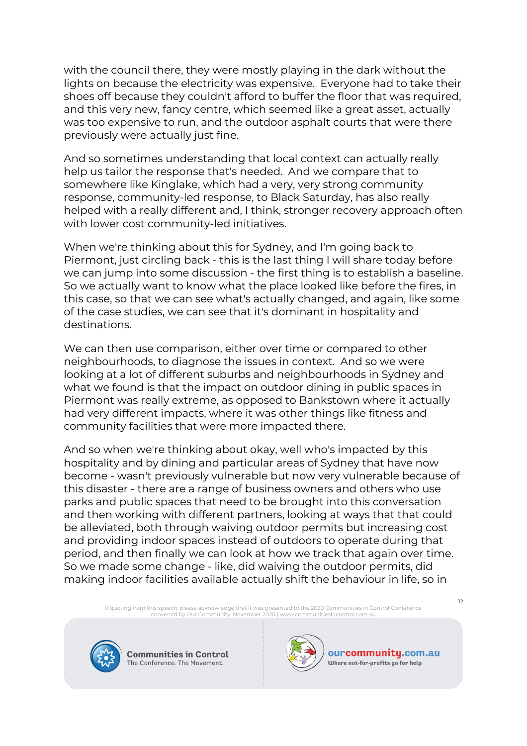with the council there, they were mostly playing in the dark without the lights on because the electricity was expensive. Everyone had to take their shoes off because they couldn't afford to buffer the floor that was required, and this very new, fancy centre, which seemed like a great asset, actually was too expensive to run, and the outdoor asphalt courts that were there previously were actually just fine.

And so sometimes understanding that local context can actually really help us tailor the response that's needed. And we compare that to somewhere like Kinglake, which had a very, very strong community response, community-led response, to Black Saturday, has also really helped with a really different and, I think, stronger recovery approach often with lower cost community-led initiatives.

When we're thinking about this for Sydney, and I'm going back to Piermont, just circling back - this is the last thing I will share today before we can jump into some discussion - the first thing is to establish a baseline. So we actually want to know what the place looked like before the fires, in this case, so that we can see what's actually changed, and again, like some of the case studies, we can see that it's dominant in hospitality and destinations.

We can then use comparison, either over time or compared to other neighbourhoods, to diagnose the issues in context. And so we were looking at a lot of different suburbs and neighbourhoods in Sydney and what we found is that the impact on outdoor dining in public spaces in Piermont was really extreme, as opposed to Bankstown where it actually had very different impacts, where it was other things like fitness and community facilities that were more impacted there.

And so when we're thinking about okay, well who's impacted by this hospitality and by dining and particular areas of Sydney that have now become - wasn't previously vulnerable but now very vulnerable because of this disaster - there are a range of business owners and others who use parks and public spaces that need to be brought into this conversation and then working with different partners, looking at ways that that could be alleviated, both through waiving outdoor permits but increasing cost and providing indoor spaces instead of outdoors to operate during that period, and then finally we can look at how we track that again over time. So we made some change - like, did waiving the outdoor permits, did making indoor facilities available actually shift the behaviour in life, so in

If quoting from this speech, please acknowledge that it was presented to the 2020 Communities in Control Conference<br>convened by Our Community, November 2020 | <u>www.communitiesincontrol.com.au</u>